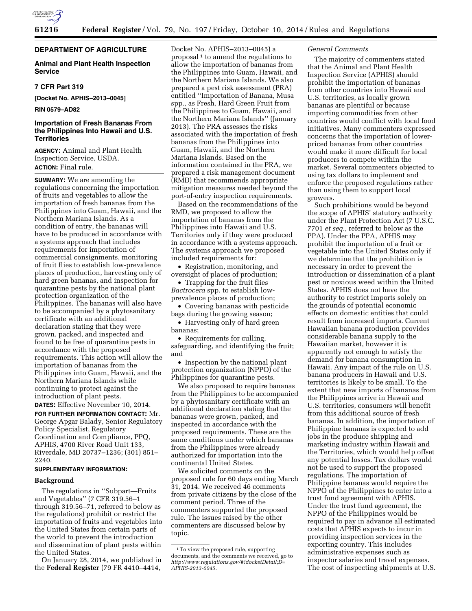

# **DEPARTMENT OF AGRICULTURE**

## **Animal and Plant Health Inspection Service**

## **7 CFR Part 319**

**[Docket No. APHIS–2013–0045]** 

**RIN 0579–AD82** 

# **Importation of Fresh Bananas From the Philippines Into Hawaii and U.S. Territories**

**AGENCY:** Animal and Plant Health Inspection Service, USDA. **ACTION:** Final rule.

**SUMMARY:** We are amending the regulations concerning the importation of fruits and vegetables to allow the importation of fresh bananas from the Philippines into Guam, Hawaii, and the Northern Mariana Islands. As a condition of entry, the bananas will have to be produced in accordance with a systems approach that includes requirements for importation of commercial consignments, monitoring of fruit flies to establish low-prevalence places of production, harvesting only of hard green bananas, and inspection for quarantine pests by the national plant protection organization of the Philippines. The bananas will also have to be accompanied by a phytosanitary certificate with an additional declaration stating that they were grown, packed, and inspected and found to be free of quarantine pests in accordance with the proposed requirements. This action will allow the importation of bananas from the Philippines into Guam, Hawaii, and the Northern Mariana Islands while continuing to protect against the introduction of plant pests.

**DATES:** Effective November 10, 2014. **FOR FURTHER INFORMATION CONTACT:** Mr. George Apgar Balady, Senior Regulatory Policy Specialist, Regulatory Coordination and Compliance, PPQ, APHIS, 4700 River Road Unit 133, Riverdale, MD 20737–1236; (301) 851– 2240.

### **SUPPLEMENTARY INFORMATION:**

#### **Background**

The regulations in ''Subpart—Fruits and Vegetables'' (7 CFR 319.56–1 through 319.56–71, referred to below as the regulations) prohibit or restrict the importation of fruits and vegetables into the United States from certain parts of the world to prevent the introduction and dissemination of plant pests within the United States.

On January 28, 2014, we published in the **Federal Register** (79 FR 4410–4414,

Docket No. APHIS–2013–0045) a proposal  $1$  to amend the regulations to allow the importation of bananas from the Philippines into Guam, Hawaii, and the Northern Mariana Islands. We also prepared a pest risk assessment (PRA) entitled ''Importation of Banana, Musa spp., as Fresh, Hard Green Fruit from the Philippines to Guam, Hawaii, and the Northern Mariana Islands'' (January 2013). The PRA assesses the risks associated with the importation of fresh bananas from the Philippines into Guam, Hawaii, and the Northern Mariana Islands. Based on the information contained in the PRA, we prepared a risk management document (RMD) that recommends appropriate mitigation measures needed beyond the port-of-entry inspection requirements.

Based on the recommendations of the RMD, we proposed to allow the importation of bananas from the Philippines into Hawaii and U.S. Territories only if they were produced in accordance with a systems approach. The systems approach we proposed included requirements for:

• Registration, monitoring, and oversight of places of production;

• Trapping for the fruit flies *Bactrocera* spp. to establish lowprevalence places of production;

• Covering bananas with pesticide bags during the growing season;

• Harvesting only of hard green bananas;

• Requirements for culling, safeguarding, and identifying the fruit; and

• Inspection by the national plant protection organization (NPPO) of the Philippines for quarantine pests.

We also proposed to require bananas from the Philippines to be accompanied by a phytosanitary certificate with an additional declaration stating that the bananas were grown, packed, and inspected in accordance with the proposed requirements. These are the same conditions under which bananas from the Philippines were already authorized for importation into the continental United States.

We solicited comments on the proposed rule for 60 days ending March 31, 2014. We received 46 comments from private citizens by the close of the comment period. Three of the commenters supported the proposed rule. The issues raised by the other commenters are discussed below by topic.

## *General Comments*

The majority of commenters stated that the Animal and Plant Health Inspection Service (APHIS) should prohibit the importation of bananas from other countries into Hawaii and U.S. territories, as locally grown bananas are plentiful or because importing commodities from other countries would conflict with local food initiatives. Many commenters expressed concerns that the importation of lowerpriced bananas from other countries would make it more difficult for local producers to compete within the market. Several commenters objected to using tax dollars to implement and enforce the proposed regulations rather than using them to support local growers.

Such prohibitions would be beyond the scope of APHIS' statutory authority under the Plant Protection Act (7 U.S.C. 7701 *et seq.,* referred to below as the PPA). Under the PPA, APHIS may prohibit the importation of a fruit or vegetable into the United States only if we determine that the prohibition is necessary in order to prevent the introduction or dissemination of a plant pest or noxious weed within the United States. APHIS does not have the authority to restrict imports solely on the grounds of potential economic effects on domestic entities that could result from increased imports. Current Hawaiian banana production provides considerable banana supply to the Hawaiian market, however it is apparently not enough to satisfy the demand for banana consumption in Hawaii. Any impact of the rule on U.S. banana producers in Hawaii and U.S. territories is likely to be small. To the extent that new imports of bananas from the Philippines arrive in Hawaii and U.S. territories, consumers will benefit from this additional source of fresh bananas. In addition, the importation of Philippine bananas is expected to add jobs in the produce shipping and marketing industry within Hawaii and the Territories, which would help offset any potential losses. Tax dollars would not be used to support the proposed regulations. The importation of Philippine bananas would require the NPPO of the Philippines to enter into a trust fund agreement with APHIS. Under the trust fund agreement, the NPPO of the Philippines would be required to pay in advance all estimated costs that APHIS expects to incur in providing inspection services in the exporting country. This includes administrative expenses such as inspector salaries and travel expenses. The cost of inspecting shipments at U.S.

<sup>1</sup>To view the proposed rule, supporting documents, and the comments we received, go to *[http://www.regulations.gov/#!docketDetail;D=](http://www.regulations.gov/#!docketDetail;D=APHIS-2013-0045) [APHIS-2013-0045.](http://www.regulations.gov/#!docketDetail;D=APHIS-2013-0045)*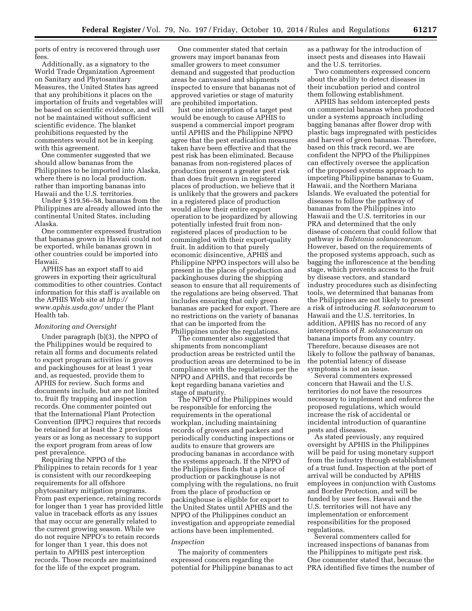ports of entry is recovered through user fees.

Additionally, as a signatory to the World Trade Organization Agreement on Sanitary and Phytosanitary Measures, the United States has agreed that any prohibitions it places on the importation of fruits and vegetables will be based on scientific evidence, and will not be maintained without sufficient scientific evidence. The blanket prohibitions requested by the commenters would not be in keeping with this agreement.

One commenter suggested that we should allow bananas from the Philippines to be imported into Alaska, where there is no local production, rather than importing bananas into Hawaii and the U.S. territories.

Under § 319.56–58, bananas from the Philippines are already allowed into the continental United States, including Alaska.

One commenter expressed frustration that bananas grown in Hawaii could not be exported, while bananas grown in other countries could be imported into Hawaii.

APHIS has an export staff to aid growers in exporting their agricultural commodities to other countries. Contact information for this staff is available on the APHIS Web site at *[http://](http://www.aphis.usda.gov/) [www.aphis.usda.gov/](http://www.aphis.usda.gov/)* under the Plant Health tab.

#### *Monitoring and Oversight*

Under paragraph (b)(3), the NPPO of the Philippines would be required to retain all forms and documents related to export program activities in groves and packinghouses for at least 1 year and, as requested, provide them to APHIS for review. Such forms and documents include, but are not limited to, fruit fly trapping and inspection records. One commenter pointed out that the International Plant Protection Convention (IPPC) requires that records be retained for at least the 2 previous years or as long as necessary to support the export program from areas of low pest prevalence.

Requiring the NPPO of the Philippines to retain records for 1 year is consistent with our recordkeeping requirements for all offshore phytosanitary mitigation programs. From past experience, retaining records for longer than 1 year has provided little value in traceback efforts as any issues that may occur are generally related to the current growing season. While we do not require NPPO's to retain records for longer than 1 year, this does not pertain to APHIS pest interception records. Those records are maintained for the life of the export program.

One commenter stated that certain growers may import bananas from smaller growers to meet consumer demand and suggested that production areas be canvassed and shipments inspected to ensure that bananas not of approved varieties or stage of maturity are prohibited importation.

Just one interception of a target pest would be enough to cause APHIS to suspend a commercial import program until APHIS and the Philippine NPPO agree that the pest eradication measures taken have been effective and that the pest risk has been eliminated. Because bananas from non-registered places of production present a greater pest risk than does fruit grown in registered places of production, we believe that it is unlikely that the growers and packers in a registered place of production would allow their entire export operation to be jeopardized by allowing potentially infested fruit from nonregistered places of production to be commingled with their export-quality fruit. In addition to that purely economic disincentive, APHIS and Philippine NPPO inspectors will also be present in the places of production and packinghouses during the shipping season to ensure that all requirements of the regulations are being observed. That includes ensuring that only green bananas are packed for export. There are no restrictions on the variety of bananas that can be imported from the Philippines under the regulations.

The commenter also suggested that shipments from noncompliant production areas be restricted until the production areas are determined to be in compliance with the regulations per the NPPO and APHIS, and that records be kept regarding banana varieties and stage of maturity.

The NPPO of the Philippines would be responsible for enforcing the requirements in the operational workplan, including maintaining records of growers and packers and periodically conducting inspections or audits to ensure that growers are producing bananas in accordance with the systems approach. If the NPPO of the Philippines finds that a place of production or packinghouse is not complying with the regulations, no fruit from the place of production or packinghouse is eligible for export to the United States until APHIS and the NPPO of the Philippines conduct an investigation and appropriate remedial actions have been implemented.

### *Inspection*

The majority of commenters expressed concern regarding the potential for Philippine bananas to act as a pathway for the introduction of insect pests and diseases into Hawaii and the U.S. territories.

Two commenters expressed concern about the ability to detect diseases in their incubation period and control them following establishment.

APHIS has seldom intercepted pests on commercial bananas when produced under a systems approach including bagging bananas after flower drop with plastic bags impregnated with pesticides and harvest of green bananas. Therefore, based on this track record, we are confident the NPPO of the Philippines can effectively oversee the application of the proposed systems approach to importing Philippine bananas to Guam, Hawaii, and the Northern Mariana Islands. We evaluated the potential for diseases to follow the pathway of bananas from the Philippines into Hawaii and the U.S. territories in our PRA and determined that the only disease of concern that could follow that pathway is *Ralstonia solanacearum.*  However, based on the requirements of the proposed systems approach, such as bagging the inflorescence at the bending stage, which prevents access to the fruit by disease vectors, and standard industry procedures such as disinfecting tools, we determined that bananas from the Philippines are not likely to present a risk of introducing *R. solanacearum* to Hawaii and the U.S. territories. In addition, APHIS has no record of any interceptions of *R. solanacearum* on banana imports from any country. Therefore, because diseases are not likely to follow the pathway of bananas, the potential latency of disease symptoms is not an issue.

Several commenters expressed concern that Hawaii and the U.S. territories do not have the resources necessary to implement and enforce the proposed regulations, which would increase the risk of accidental or incidental introduction of quarantine pests and diseases.

As stated previously, any required oversight by APHIS in the Philippines will be paid for using monetary support from the industry through establishment of a trust fund. Inspection at the port of arrival will be conducted by APHIS employees in conjunction with Customs and Border Protection, and will be funded by user fees. Hawaii and the U.S. territories will not have any implementation or enforcement responsibilities for the proposed regulations.

Several commenters called for increased inspections of bananas from the Philippines to mitigate pest risk. One commenter stated that, because the PRA identified five times the number of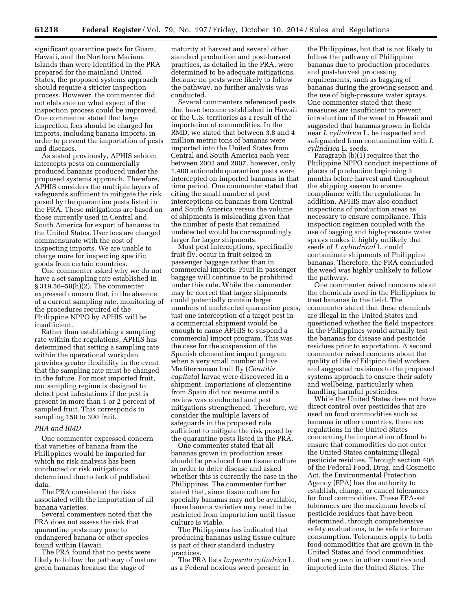significant quarantine pests for Guam, Hawaii, and the Northern Mariana Islands than were identified in the PRA prepared for the mainland United States, the proposed systems approach should require a stricter inspection process. However, the commenter did not elaborate on what aspect of the inspection process could be improved. One commenter stated that large inspection fees should be charged for imports, including banana imports, in order to prevent the importation of pests and diseases.

As stated previously, APHIS seldom intercepts pests on commercially produced bananas produced under the proposed systems approach. Therefore, APHIS considers the multiple layers of safeguards sufficient to mitigate the risk posed by the quarantine pests listed in the PRA. These mitigations are based on those currently used in Central and South America for export of bananas to the United States. User fees are charged commensurate with the cost of inspecting imports. We are unable to charge more for inspecting specific goods from certain countries.

One commenter asked why we do not have a set sampling rate established in § 319.56–58(h)(2). The commenter expressed concern that, in the absence of a current sampling rate, monitoring of the procedures required of the Philippine NPPO by APHIS will be insufficient.

Rather than establishing a sampling rate within the regulations, APHIS has determined that setting a sampling rate within the operational workplan provides greater flexibility in the event that the sampling rate must be changed in the future. For most imported fruit, our sampling regime is designed to detect pest infestations if the pest is present in more than 1 or 2 percent of sampled fruit. This corresponds to sampling 150 to 300 fruit.

# *PRA and RMD*

One commenter expressed concern that varieties of banana from the Philippines would be imported for which no risk analysis has been conducted or risk mitigations determined due to lack of published data.

The PRA considered the risks associated with the importation of all banana varieties.

Several commenters noted that the PRA does not assess the risk that quarantine pests may pose to endangered banana or other species found within Hawaii.

The PRA found that no pests were likely to follow the pathway of mature green bananas because the stage of

maturity at harvest and several other standard production and post-harvest practices, as detailed in the PRA, were determined to be adequate mitigations. Because no pests were likely to follow the pathway, no further analysis was conducted.

Several commenters referenced pests that have become established in Hawaii or the U.S. territories as a result of the importation of commodities. In the RMD, we stated that between 3.8 and 4 million metric tons of bananas were imported into the United States from Central and South America each year between 2003 and 2007, however, only 1,400 actionable quarantine pests were intercepted on imported bananas in that time period. One commenter stated that citing the small number of pest interceptions on bananas from Central and South America versus the volume of shipments is misleading given that the number of pests that remained undetected would be correspondingly larger for larger shipments.

Most pest interceptions, specifically fruit fly, occur in fruit seized in passenger baggage rather than in commercial imports. Fruit in passenger baggage will continue to be prohibited under this rule. While the commenter may be correct that larger shipments could potentially contain larger numbers of undetected quarantine pests, just one interception of a target pest in a commercial shipment would be enough to cause APHIS to suspend a commercial import program. This was the case for the suspension of the Spanish clementine import program when a very small number of live Mediterranean fruit fly (*Ceratitis capitata*) larvae were discovered in a shipment. Importations of clementine from Spain did not resume until a review was conducted and pest mitigations strengthened. Therefore, we consider the multiple layers of safeguards in the proposed rule sufficient to mitigate the risk posed by the quarantine pests listed in the PRA.

One commenter stated that all bananas grown in production areas should be produced from tissue culture in order to deter disease and asked whether this is currently the case in the Philippines. The commenter further stated that, since tissue culture for specialty bananas may not be available, those banana varieties may need to be restricted from importation until tissue culture is viable.

The Philippines has indicated that producing bananas using tissue culture is part of their standard industry practices.

The PRA lists *Imperata cylindrica* L. as a Federal noxious weed present in

the Philippines, but that is not likely to follow the pathway of Philippine bananas due to production procedures and post-harvest processing requirements, such as bagging of bananas during the growing season and the use of high-pressure water sprays. One commenter stated that these measures are insufficient to prevent introduction of the weed to Hawaii and suggested that bananas grown in fields near *I. cylindrica* L. be inspected and safeguarded from contamination with *I. cylindrica* L. seeds.

Paragraph (b)(1) requires that the Philippine NPPO conduct inspections of places of production beginning 3 months before harvest and throughout the shipping season to ensure compliance with the regulations. In addition, APHIS may also conduct inspections of production areas as necessary to ensure compliance. This inspection regimen coupled with the use of bagging and high-pressure water sprays makes it highly unlikely that seeds of *I. cylindrical* L. could contaminate shipments of Philippine bananas. Therefore, the PRA concluded the weed was highly unlikely to follow the pathway.

One commenter raised concerns about the chemicals used in the Philippines to treat bananas in the field. The commenter stated that these chemicals are illegal in the United States and questioned whether the field inspectors in the Philippines would actually test the bananas for disease and pesticide residues prior to exportation. A second commenter raised concerns about the quality of life of Filipino field workers and suggested revisions to the proposed systems approach to ensure their safety and wellbeing, particularly when handling harmful pesticides.

While the United States does not have direct control over pesticides that are used on food commodities such as bananas in other countries, there are regulations in the United States concerning the importation of food to ensure that commodities do not enter the United States containing illegal pesticide residues. Through section 408 of the Federal Food, Drug, and Cosmetic Act, the Environmental Protection Agency (EPA) has the authority to establish, change, or cancel tolerances for food commodities. These EPA-set tolerances are the maximum levels of pesticide residues that have been determined, through comprehensive safety evaluations, to be safe for human consumption. Tolerances apply to both food commodities that are grown in the United States and food commodities that are grown in other countries and imported into the United States. The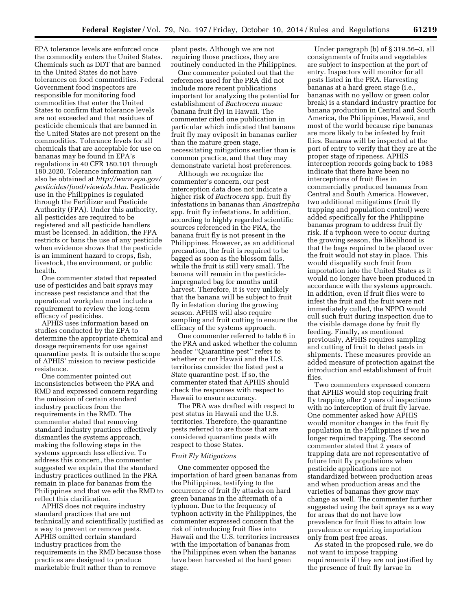EPA tolerance levels are enforced once the commodity enters the United States. Chemicals such as DDT that are banned in the United States do not have tolerances on food commodities. Federal Government food inspectors are responsible for monitoring food commodities that enter the United States to confirm that tolerance levels are not exceeded and that residues of pesticide chemicals that are banned in the United States are not present on the commodities. Tolerance levels for all chemicals that are acceptable for use on bananas may be found in EPA's regulations in 40 CFR 180.101 through 180.2020. Tolerance information can also be obtained at *[http://www.epa.gov/](http://www.epa.gov/pesticides/food/viewtols.htm) [pesticides/food/viewtols.htm.](http://www.epa.gov/pesticides/food/viewtols.htm)* Pesticide use in the Philippines is regulated through the Fertilizer and Pesticide Authority (FPA). Under this authority, all pesticides are required to be registered and all pesticide handlers must be licensed. In addition, the FPA restricts or bans the use of any pesticide when evidence shows that the pesticide is an imminent hazard to crops, fish, livestock, the environment, or public health.

One commenter stated that repeated use of pesticides and bait sprays may increase pest resistance and that the operational workplan must include a requirement to review the long-term efficacy of pesticides.

APHIS uses information based on studies conducted by the EPA to determine the appropriate chemical and dosage requirements for use against quarantine pests. It is outside the scope of APHIS' mission to review pesticide resistance.

One commenter pointed out inconsistencies between the PRA and RMD and expressed concern regarding the omission of certain standard industry practices from the requirements in the RMD. The commenter stated that removing standard industry practices effectively dismantles the systems approach, making the following steps in the systems approach less effective. To address this concern, the commenter suggested we explain that the standard industry practices outlined in the PRA remain in place for bananas from the Philippines and that we edit the RMD to reflect this clarification.

APHIS does not require industry standard practices that are not technically and scientifically justified as a way to prevent or remove pests. APHIS omitted certain standard industry practices from the requirements in the RMD because those practices are designed to produce marketable fruit rather than to remove

plant pests. Although we are not requiring those practices, they are routinely conducted in the Philippines.

One commenter pointed out that the references used for the PRA did not include more recent publications important for analyzing the potential for establishment of *Bactrocera musae*  (banana fruit fly) in Hawaii. The commenter cited one publication in particular which indicated that banana fruit fly may oviposit in bananas earlier than the mature green stage, necessitating mitigations earlier than is common practice, and that they may demonstrate varietal host preferences.

Although we recognize the commenter's concern, our pest interception data does not indicate a higher risk of *Bactrocera* spp. fruit fly infestations in bananas than *Anastrepha*  spp. fruit fly infestations. In addition, according to highly regarded scientific sources referenced in the PRA, the banana fruit fly is not present in the Philippines. However, as an additional precaution, the fruit is required to be bagged as soon as the blossom falls, while the fruit is still very small. The banana will remain in the pesticideimpregnated bag for months until harvest. Therefore, it is very unlikely that the banana will be subject to fruit fly infestation during the growing season. APHIS will also require sampling and fruit cutting to ensure the efficacy of the systems approach.

One commenter referred to table 6 in the PRA and asked whether the column header ''Quarantine pest'' refers to whether or not Hawaii and the U.S. territories consider the listed pest a State quarantine pest. If so, the commenter stated that APHIS should check the responses with respect to Hawaii to ensure accuracy.

The PRA was drafted with respect to pest status in Hawaii and the U.S. territories. Therefore, the quarantine pests referred to are those that are considered quarantine pests with respect to those States.

#### *Fruit Fly Mitigations*

One commenter opposed the importation of hard green bananas from the Philippines, testifying to the occurrence of fruit fly attacks on hard green bananas in the aftermath of a typhoon. Due to the frequency of typhoon activity in the Philippines, the commenter expressed concern that the risk of introducing fruit flies into Hawaii and the U.S. territories increases with the importation of bananas from the Philippines even when the bananas have been harvested at the hard green stage.

Under paragraph (b) of § 319.56–3, all consignments of fruits and vegetables are subject to inspection at the port of entry. Inspectors will monitor for all pests listed in the PRA. Harvesting bananas at a hard green stage (i.e., bananas with no yellow or green color break) is a standard industry practice for banana production in Central and South America, the Philippines, Hawaii, and most of the world because ripe bananas are more likely to be infested by fruit flies. Bananas will be inspected at the port of entry to verify that they are at the proper stage of ripeness. APHIS interception records going back to 1983 indicate that there have been no interceptions of fruit flies in commercially produced bananas from Central and South America. However, two additional mitigations (fruit fly trapping and population control) were added specifically for the Philippine bananas program to address fruit fly risk. If a typhoon were to occur during the growing season, the likelihood is that the bags required to be placed over the fruit would not stay in place. This would disqualify such fruit from importation into the United States as it would no longer have been produced in accordance with the systems approach. In addition, even if fruit flies were to infest the fruit and the fruit were not immediately culled, the NPPO would cull such fruit during inspection due to the visible damage done by fruit fly feeding. Finally, as mentioned previously, APHIS requires sampling and cutting of fruit to detect pests in shipments. These measures provide an added measure of protection against the introduction and establishment of fruit flies.

Two commenters expressed concern that APHIS would stop requiring fruit fly trapping after 2 years of inspections with no interception of fruit fly larvae. One commenter asked how APHIS would monitor changes in the fruit fly population in the Philippines if we no longer required trapping. The second commenter stated that 2 years of trapping data are not representative of future fruit fly populations when pesticide applications are not standardized between production areas and when production areas and the varieties of bananas they grow may change as well. The commenter further suggested using the bait sprays as a way for areas that do not have low prevalence for fruit flies to attain low prevalence or requiring importation only from pest free areas.

As stated in the proposed rule, we do not want to impose trapping requirements if they are not justified by the presence of fruit fly larvae in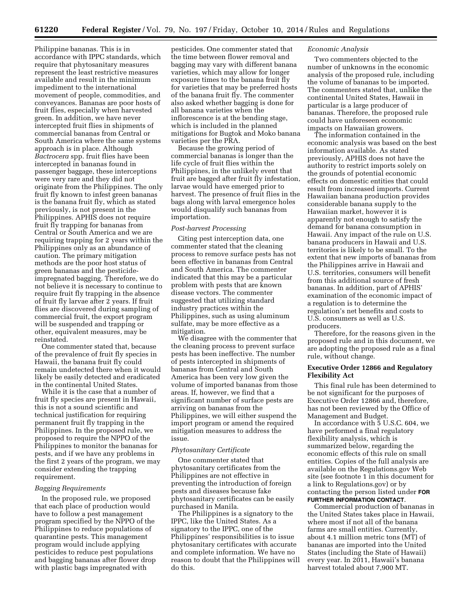Philippine bananas. This is in accordance with IPPC standards, which require that phytosanitary measures represent the least restrictive measures available and result in the minimum impediment to the international movement of people, commodities, and conveyances. Bananas are poor hosts of fruit flies, especially when harvested green. In addition, we have never intercepted fruit flies in shipments of commercial bananas from Central or South America where the same systems approach is in place. Although *Bactrocera* spp. fruit flies have been intercepted in bananas found in passenger baggage, these interceptions were very rare and they did not originate from the Philippines. The only fruit fly known to infest green bananas is the banana fruit fly, which as stated previously, is not present in the Philippines. APHIS does not require fruit fly trapping for bananas from Central or South America and we are requiring trapping for 2 years within the Philippines only as an abundance of caution. The primary mitigation methods are the poor host status of green bananas and the pesticideimpregnated bagging. Therefore, we do not believe it is necessary to continue to require fruit fly trapping in the absence of fruit fly larvae after 2 years. If fruit flies are discovered during sampling of commercial fruit, the export program will be suspended and trapping or other, equivalent measures, may be reinstated.

One commenter stated that, because of the prevalence of fruit fly species in Hawaii, the banana fruit fly could remain undetected there when it would likely be easily detected and eradicated in the continental United States.

While it is the case that a number of fruit fly species are present in Hawaii, this is not a sound scientific and technical justification for requiring permanent fruit fly trapping in the Philippines. In the proposed rule, we proposed to require the NPPO of the Philippines to monitor the bananas for pests, and if we have any problems in the first 2 years of the program, we may consider extending the trapping requirement.

### *Bagging Requirements*

In the proposed rule, we proposed that each place of production would have to follow a pest management program specified by the NPPO of the Philippines to reduce populations of quarantine pests. This management program would include applying pesticides to reduce pest populations and bagging bananas after flower drop with plastic bags impregnated with

pesticides. One commenter stated that the time between flower removal and bagging may vary with different banana varieties, which may allow for longer exposure times to the banana fruit fly for varieties that may be preferred hosts of the banana fruit fly. The commenter also asked whether bagging is done for all banana varieties when the inflorescence is at the bending stage, which is included in the planned mitigations for Bugtok and Moko banana varieties per the PRA.

Because the growing period of commercial bananas is longer than the life cycle of fruit flies within the Philippines, in the unlikely event that fruit are bagged after fruit fly infestation, larvae would have emerged prior to harvest. The presence of fruit flies in the bags along with larval emergence holes would disqualify such bananas from importation.

## *Post-harvest Processing*

Citing pest interception data, one commenter stated that the cleaning process to remove surface pests has not been effective in bananas from Central and South America. The commenter indicated that this may be a particular problem with pests that are known disease vectors. The commenter suggested that utilizing standard industry practices within the Philippines, such as using aluminum sulfate, may be more effective as a mitigation.

We disagree with the commenter that the cleaning process to prevent surface pests has been ineffective. The number of pests intercepted in shipments of bananas from Central and South America has been very low given the volume of imported bananas from those areas. If, however, we find that a significant number of surface pests are arriving on bananas from the Philippines, we will either suspend the import program or amend the required mitigation measures to address the issue.

### *Phytosanitary Certificate*

One commenter stated that phytosanitary certificates from the Philippines are not effective in preventing the introduction of foreign pests and diseases because fake phytosanitary certificates can be easily purchased in Manila.

The Philippines is a signatory to the IPPC, like the United States. As a signatory to the IPPC, one of the Philippines' responsibilities is to issue phytosanitary certificates with accurate and complete information. We have no reason to doubt that the Philippines will do this.

## *Economic Analysis*

Two commenters objected to the number of unknowns in the economic analysis of the proposed rule, including the volume of bananas to be imported. The commenters stated that, unlike the continental United States, Hawaii in particular is a large producer of bananas. Therefore, the proposed rule could have unforeseen economic impacts on Hawaiian growers.

The information contained in the economic analysis was based on the best information available. As stated previously, APHIS does not have the authority to restrict imports solely on the grounds of potential economic effects on domestic entities that could result from increased imports. Current Hawaiian banana production provides considerable banana supply to the Hawaiian market, however it is apparently not enough to satisfy the demand for banana consumption in Hawaii. Any impact of the rule on U.S. banana producers in Hawaii and U.S. territories is likely to be small. To the extent that new imports of bananas from the Philippines arrive in Hawaii and U.S. territories, consumers will benefit from this additional source of fresh bananas. In addition, part of APHIS' examination of the economic impact of a regulation is to determine the regulation's net benefits and costs to U.S. consumers as well as U.S. producers.

Therefore, for the reasons given in the proposed rule and in this document, we are adopting the proposed rule as a final rule, without change.

## **Executive Order 12866 and Regulatory Flexibility Act**

This final rule has been determined to be not significant for the purposes of Executive Order 12866 and, therefore, has not been reviewed by the Office of Management and Budget.

In accordance with 5 U.S.C. 604, we have performed a final regulatory flexibility analysis, which is summarized below, regarding the economic effects of this rule on small entities. Copies of the full analysis are available on the Regulations.gov Web site (see footnote 1 in this document for a link to Regulations.gov) or by contacting the person listed under **FOR FURTHER INFORMATION CONTACT**.

Commercial production of bananas in the United States takes place in Hawaii, where most if not all of the banana farms are small entities. Currently, about 4.1 million metric tons (MT) of bananas are imported into the United States (including the State of Hawaii) every year. In 2011, Hawaii's banana harvest totaled about 7,900 MT.